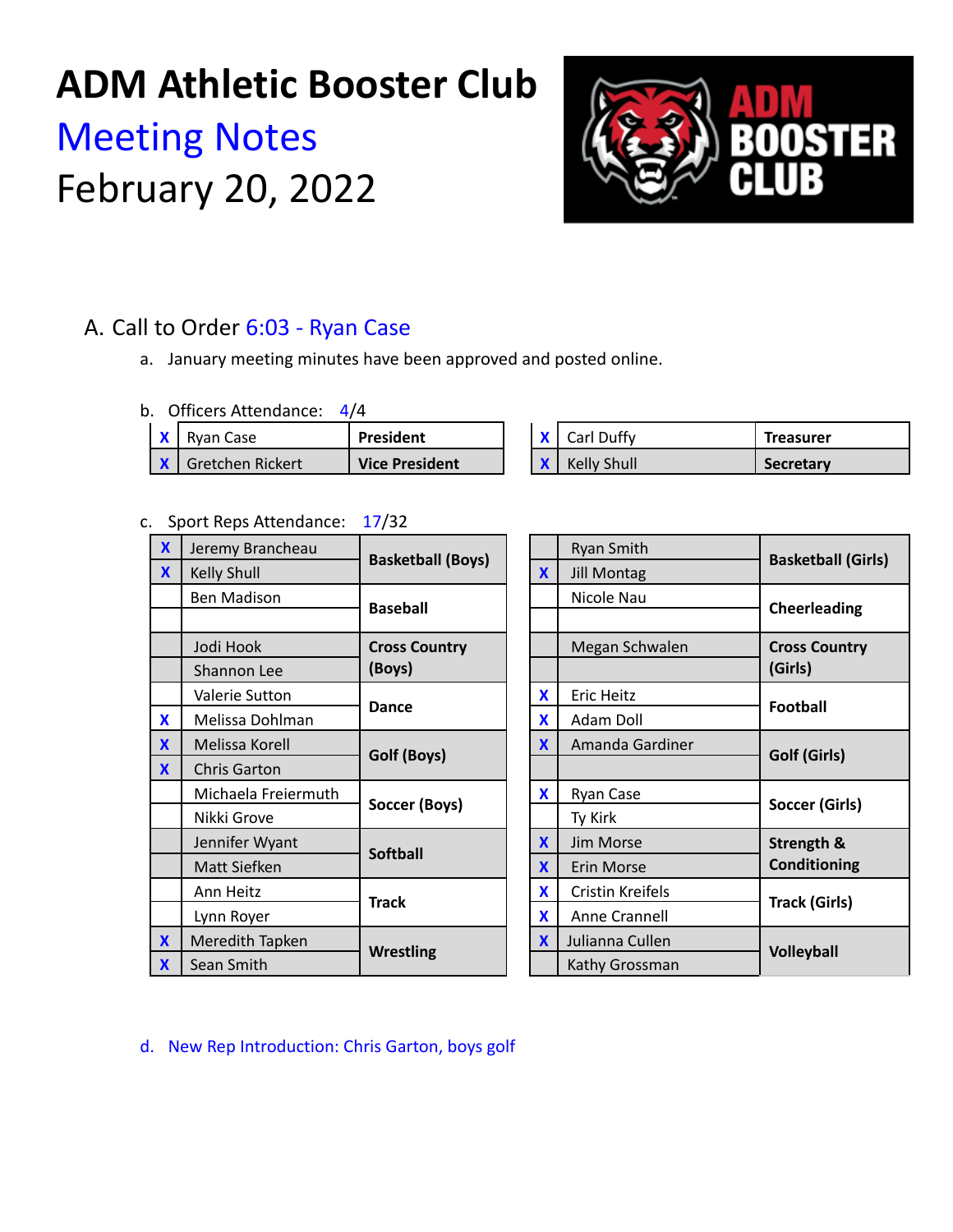## **ADM Athletic Booster Club**

# Meeting Notes February 20, 2022



## A. Call to Order 6:03 - Ryan Case

a. January meeting minutes have been approved and posted online.

|  | b. Officers Attendance: | 4/4 |
|--|-------------------------|-----|
|--|-------------------------|-----|

| I Rvan Case                 | <b>President</b>      |  | Carl Duffy  | <b>Treasurer</b> |
|-----------------------------|-----------------------|--|-------------|------------------|
| <b>K L</b> Gretchen Rickert | <b>Vice President</b> |  | Kelly Shull | <b>Secretary</b> |

#### c. Sport Reps Attendance: 17/32

| $\mathbf x$  | Jeremy Brancheau    | <b>Basketball (Boys)</b>         |  |                 | <b>Ryan Smith</b>  |               |               |  |        |  |
|--------------|---------------------|----------------------------------|--|-----------------|--------------------|---------------|---------------|--|--------|--|
| $\mathbf{x}$ | Kelly Shull         |                                  |  | X               | <b>Jill Montag</b> | <b>Basket</b> |               |  |        |  |
|              | <b>Ben Madison</b>  |                                  |  | <b>Baseball</b> |                    |               | Nicole Nau    |  | Cheerl |  |
|              |                     |                                  |  |                 |                    |               |               |  |        |  |
|              | Jodi Hook           | <b>Cross Country</b>             |  |                 | Megan Schwalen     |               | Cross         |  |        |  |
|              | Shannon Lee         | (Boys)                           |  |                 |                    |               | (Girls)       |  |        |  |
|              | Valerie Sutton      |                                  |  | X               | <b>Eric Heitz</b>  |               |               |  |        |  |
| X            | Melissa Dohlman     | <b>Dance</b>                     |  | X               | Adam Doll          |               | Footba        |  |        |  |
| X            | Melissa Korell      |                                  |  | X               | Amanda Gardiner    |               |               |  |        |  |
| $\mathbf{x}$ | <b>Chris Garton</b> | Golf (Boys)                      |  |                 |                    |               | Golf (        |  |        |  |
|              | Michaela Freiermuth | Soccer (Boys)<br><b>Softball</b> |  | X               | Ryan Case          |               | Soccer        |  |        |  |
|              | Nikki Grove         |                                  |  |                 | Ty Kirk            |               |               |  |        |  |
|              | Jennifer Wyant      |                                  |  | X               | Jim Morse          |               | <b>Streng</b> |  |        |  |
|              | Matt Siefken        |                                  |  | X               | Erin Morse         |               | Condit        |  |        |  |
|              | Ann Heitz           |                                  |  | X               | Cristin Kreifels   |               | Track (       |  |        |  |
|              | Lynn Royer          | <b>Track</b>                     |  | X               | Anne Crannell      |               |               |  |        |  |
| X            | Meredith Tapken     | <b>Wrestling</b>                 |  | X               | Julianna Cullen    |               | <b>Volley</b> |  |        |  |
| $\mathbf{x}$ | Sean Smith          |                                  |  |                 | Kathy Grossman     |               |               |  |        |  |

|                      |                                                                                                                                                    | Ryan Smith                          |                                 |  |  |
|----------------------|----------------------------------------------------------------------------------------------------------------------------------------------------|-------------------------------------|---------------------------------|--|--|
| <b>Celly Shull</b>   |                                                                                                                                                    | <b>Jill Montag</b>                  | <b>Basketball (Girls)</b>       |  |  |
|                      |                                                                                                                                                    | Nicole Nau                          | <b>Cheerleading</b>             |  |  |
|                      |                                                                                                                                                    |                                     |                                 |  |  |
| <b>Cross Country</b> |                                                                                                                                                    | Megan Schwalen                      | <b>Cross Country</b><br>(Girls) |  |  |
| (Boys)               |                                                                                                                                                    |                                     |                                 |  |  |
|                      | X                                                                                                                                                  | <b>Eric Heitz</b>                   | <b>Football</b>                 |  |  |
|                      | X                                                                                                                                                  | Adam Doll                           |                                 |  |  |
|                      | X                                                                                                                                                  | Amanda Gardiner                     | Golf (Girls)                    |  |  |
|                      |                                                                                                                                                    |                                     |                                 |  |  |
|                      | X                                                                                                                                                  | Ryan Case                           | Soccer (Girls)                  |  |  |
|                      |                                                                                                                                                    | Ty Kirk                             |                                 |  |  |
| Jennifer Wyant       |                                                                                                                                                    | Jim Morse                           | Strength &                      |  |  |
|                      | X                                                                                                                                                  | Erin Morse                          | <b>Conditioning</b>             |  |  |
| Ann Heitz            |                                                                                                                                                    | Cristin Kreifels                    | <b>Track (Girls)</b>            |  |  |
|                      | X                                                                                                                                                  | Anne Crannell                       |                                 |  |  |
|                      | X                                                                                                                                                  | Julianna Cullen                     | <b>Volleyball</b>               |  |  |
|                      |                                                                                                                                                    | Kathy Grossman                      |                                 |  |  |
|                      | <b>Basketball (Boys)</b><br><b>Baseball</b><br><b>Dance</b><br>Golf (Boys)<br>Soccer (Boys)<br><b>Softball</b><br><b>Track</b><br><b>Wrestling</b> | $\boldsymbol{\mathsf{X}}$<br>X<br>X |                                 |  |  |

d. New Rep Introduction: Chris Garton, boys golf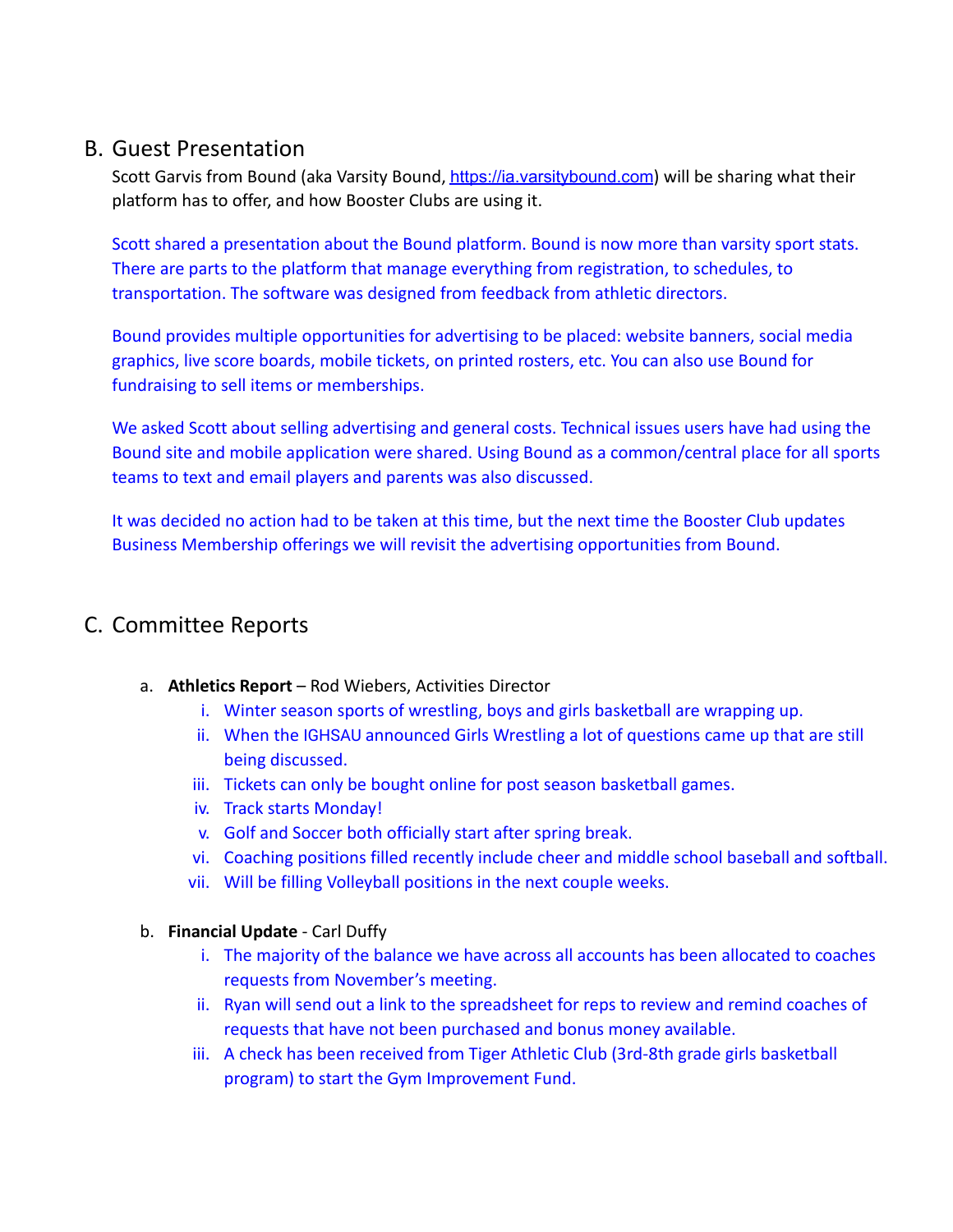### B. Guest Presentation

Scott Garvis from Bound (aka Varsity Bound, [https://ia.varsitybound.com](https://ia.varsitybound.com/)) will be sharing what their platform has to offer, and how Booster Clubs are using it.

Scott shared a presentation about the Bound platform. Bound is now more than varsity sport stats. There are parts to the platform that manage everything from registration, to schedules, to transportation. The software was designed from feedback from athletic directors.

Bound provides multiple opportunities for advertising to be placed: website banners, social media graphics, live score boards, mobile tickets, on printed rosters, etc. You can also use Bound for fundraising to sell items or memberships.

We asked Scott about selling advertising and general costs. Technical issues users have had using the Bound site and mobile application were shared. Using Bound as a common/central place for all sports teams to text and email players and parents was also discussed.

It was decided no action had to be taken at this time, but the next time the Booster Club updates Business Membership offerings we will revisit the advertising opportunities from Bound.

### C. Committee Reports

- a. **Athletics Report** Rod Wiebers, Activities Director
	- i. Winter season sports of wrestling, boys and girls basketball are wrapping up.
	- ii. When the IGHSAU announced Girls Wrestling a lot of questions came up that are still being discussed.
	- iii. Tickets can only be bought online for post season basketball games.
	- iv. Track starts Monday!
	- v. Golf and Soccer both officially start after spring break.
	- vi. Coaching positions filled recently include cheer and middle school baseball and softball.
	- vii. Will be filling Volleyball positions in the next couple weeks.
- b. **Financial Update** Carl Duffy
	- i. The majority of the balance we have across all accounts has been allocated to coaches requests from November's meeting.
	- ii. Ryan will send out a link to the spreadsheet for reps to review and remind coaches of requests that have not been purchased and bonus money available.
	- iii. A check has been received from Tiger Athletic Club (3rd-8th grade girls basketball program) to start the Gym Improvement Fund.